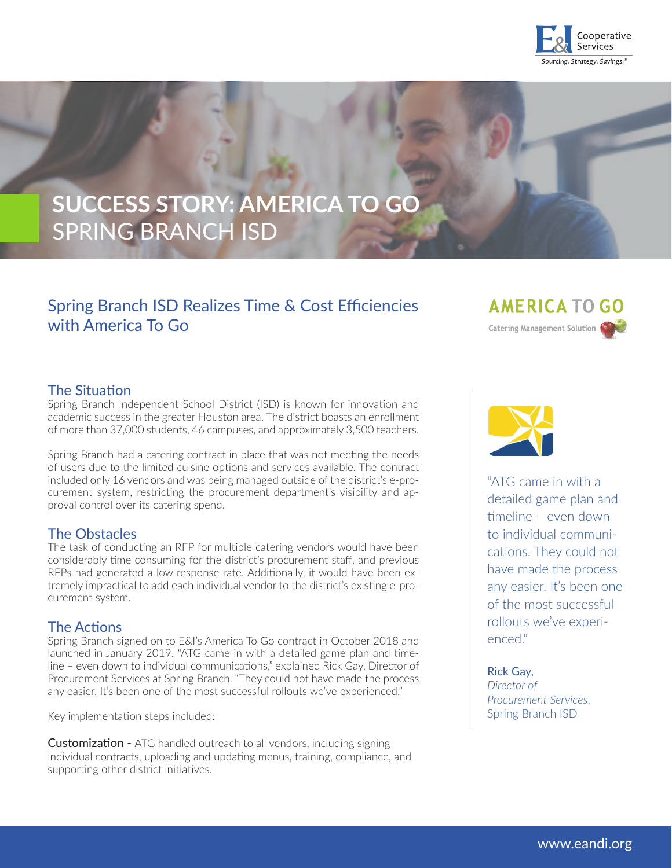

# **SUCCESS STORY: AMERICA TO GO** SPRING BRANCH ISD

## Spring Branch ISD Realizes Time & Cost Efficiencies with America To Go

**AMERICA TO GO** Catering Management Solution

## The Situation

Spring Branch Independent School District (ISD) is known for innovation and academic success in the greater Houston area. The district boasts an enrollment of more than 37,000 students, 46 campuses, and approximately 3,500 teachers.

Spring Branch had a catering contract in place that was not meeting the needs of users due to the limited cuisine options and services available. The contract included only 16 vendors and was being managed outside of the district's e-procurement system, restricting the procurement department's visibility and approval control over its catering spend.

## The Obstacles

The task of conducting an RFP for multiple catering vendors would have been considerably time consuming for the district's procurement staff, and previous RFPs had generated a low response rate. Additionally, it would have been extremely impractical to add each individual vendor to the district's existing e-procurement system.

## The Actions

Spring Branch signed on to E&I's America To Go contract in October 2018 and launched in January 2019. "ATG came in with a detailed game plan and timeline – even down to individual communications," explained Rick Gay, Director of Procurement Services at Spring Branch. "They could not have made the process any easier. It's been one of the most successful rollouts we've experienced."

Key implementation steps included:

Customization - ATG handled outreach to all vendors, including signing individual contracts, uploading and updating menus, training, compliance, and supporting other district initiatives.



"ATG came in with a detailed game plan and timeline – even down to individual communications. They could not have made the process any easier. It's been one of the most successful rollouts we've experienced."

#### Rick Gay,

*Director of Procurement Services*, Spring Branch ISD